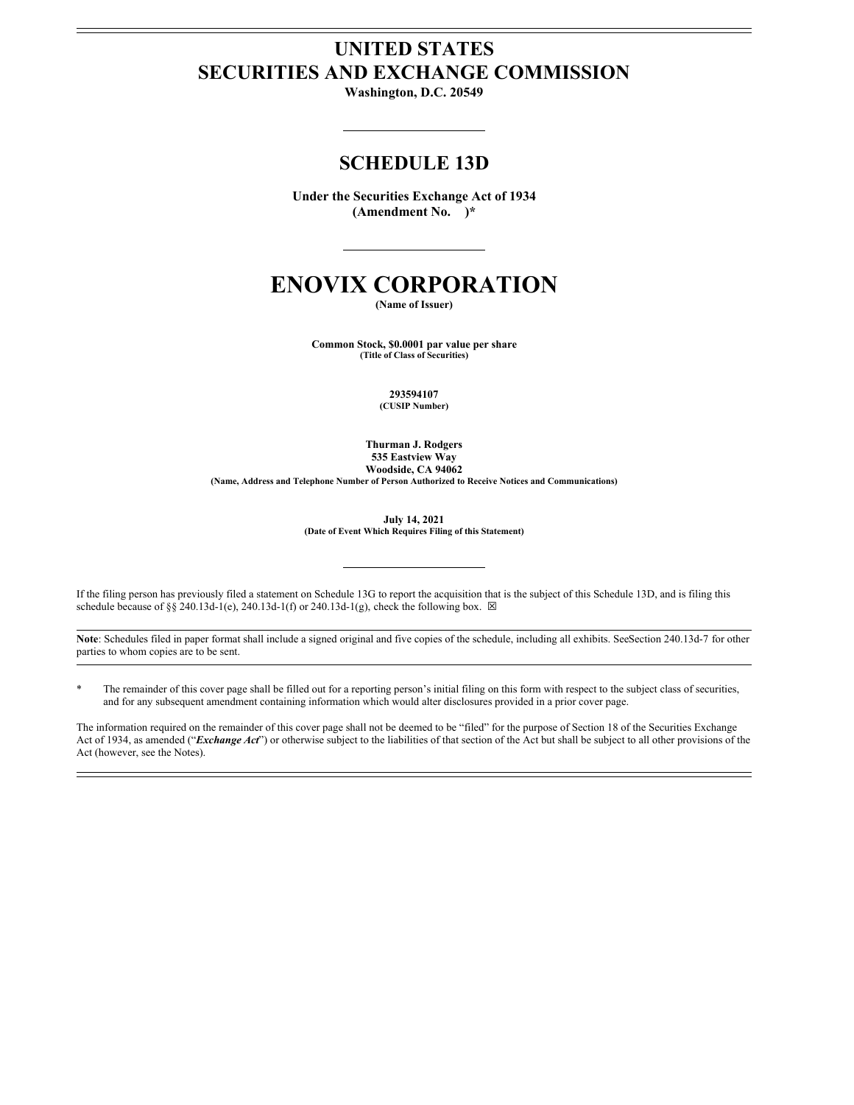# **UNITED STATES SECURITIES AND EXCHANGE COMMISSION**

**Washington, D.C. 20549**

# **SCHEDULE 13D**

**Under the Securities Exchange Act of 1934 (Amendment No. )\***

# **ENOVIX CORPORATION**

**(Name of Issuer)**

**Common Stock, \$0.0001 par value per share (Title of Class of Securities)**

> **293594107 (CUSIP Number)**

**Thurman J. Rodgers 535 Eastview Way Woodside, CA 94062 (Name, Address and Telephone Number of Person Authorized to Receive Notices and Communications)**

> **July 14, 2021 (Date of Event Which Requires Filing of this Statement)**

If the filing person has previously filed a statement on Schedule 13G to report the acquisition that is the subject of this Schedule 13D, and is filing this schedule because of §§ 240.13d-1(e), 240.13d-1(f) or 240.13d-1(g), check the following box.  $\boxtimes$ 

Note: Schedules filed in paper format shall include a signed original and five copies of the schedule, including all exhibits. SeeSection 240.13d-7 for other parties to whom copies are to be sent.

\* The remainder of this cover page shall be filled out for a reporting person's initial filing on this form with respect to the subject class of securities, and for any subsequent amendment containing information which would alter disclosures provided in a prior cover page.

The information required on the remainder of this cover page shall not be deemed to be "filed" for the purpose of Section 18 of the Securities Exchange Act of 1934, as amended ("*Exchange Act*") or otherwise subject to the liabilities of that section of the Act but shall be subject to all other provisions of the Act (however, see the Notes).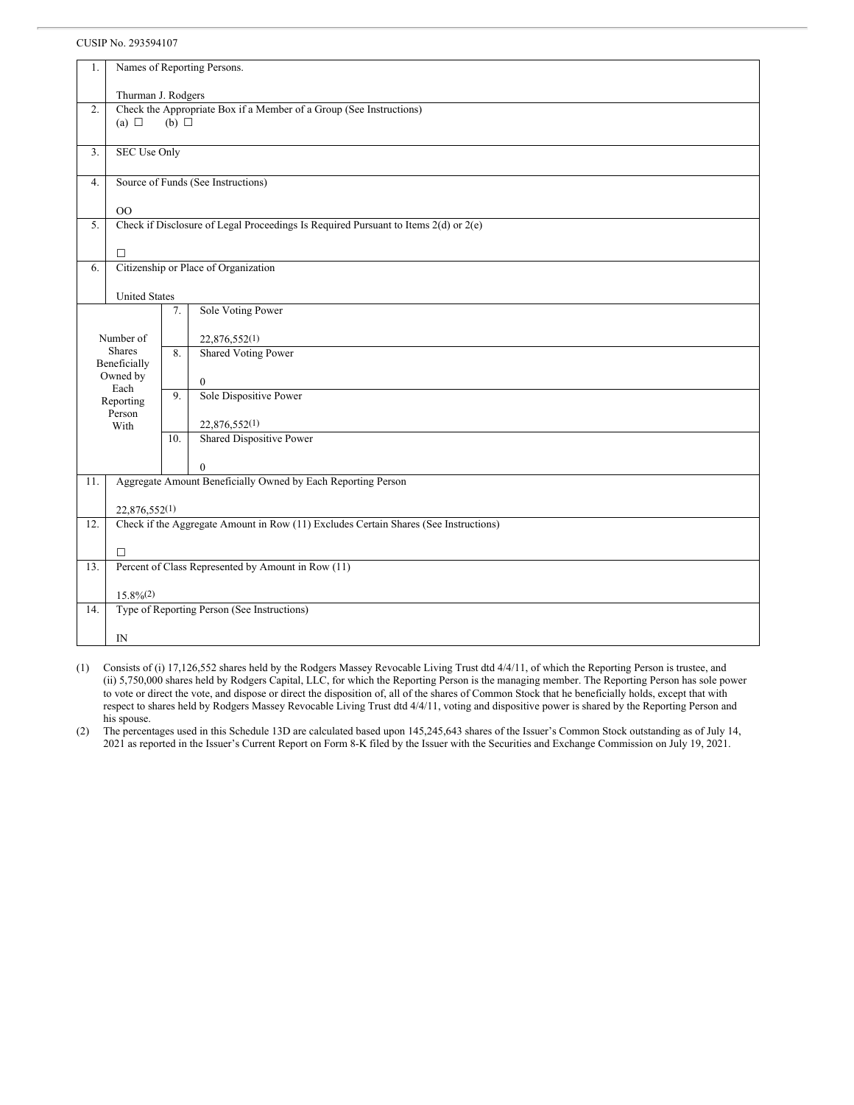| 1.                            |                                                                     |     |                                                                                      |  |  |  |  |
|-------------------------------|---------------------------------------------------------------------|-----|--------------------------------------------------------------------------------------|--|--|--|--|
|                               | Names of Reporting Persons.                                         |     |                                                                                      |  |  |  |  |
|                               | Thurman J. Rodgers                                                  |     |                                                                                      |  |  |  |  |
| 2.                            | Check the Appropriate Box if a Member of a Group (See Instructions) |     |                                                                                      |  |  |  |  |
| (a) $\Box$<br>$(b)$ $\square$ |                                                                     |     |                                                                                      |  |  |  |  |
|                               |                                                                     |     |                                                                                      |  |  |  |  |
| 3.                            | <b>SEC Use Only</b>                                                 |     |                                                                                      |  |  |  |  |
| 4.                            | Source of Funds (See Instructions)                                  |     |                                                                                      |  |  |  |  |
|                               |                                                                     |     |                                                                                      |  |  |  |  |
|                               | 00                                                                  |     |                                                                                      |  |  |  |  |
| 5.                            |                                                                     |     | Check if Disclosure of Legal Proceedings Is Required Pursuant to Items 2(d) or 2(e)  |  |  |  |  |
|                               |                                                                     |     |                                                                                      |  |  |  |  |
| 6.                            | П                                                                   |     | Citizenship or Place of Organization                                                 |  |  |  |  |
|                               |                                                                     |     |                                                                                      |  |  |  |  |
|                               | <b>United States</b>                                                |     |                                                                                      |  |  |  |  |
|                               | Sole Voting Power<br>7.                                             |     |                                                                                      |  |  |  |  |
|                               |                                                                     |     |                                                                                      |  |  |  |  |
|                               | Number of<br><b>Shares</b>                                          | 8.  | 22,876,552(1)<br><b>Shared Voting Power</b>                                          |  |  |  |  |
| Beneficially                  |                                                                     |     |                                                                                      |  |  |  |  |
|                               | Owned by                                                            |     | $\mathbf{0}$                                                                         |  |  |  |  |
| Each<br>Reporting             |                                                                     | 9.  | Sole Dispositive Power                                                               |  |  |  |  |
| Person                        |                                                                     |     |                                                                                      |  |  |  |  |
| With                          |                                                                     |     | 22,876,552(1)                                                                        |  |  |  |  |
|                               |                                                                     | 10. | <b>Shared Dispositive Power</b>                                                      |  |  |  |  |
|                               |                                                                     |     | $\mathbf{0}$                                                                         |  |  |  |  |
| 11.                           |                                                                     |     | Aggregate Amount Beneficially Owned by Each Reporting Person                         |  |  |  |  |
|                               |                                                                     |     |                                                                                      |  |  |  |  |
|                               | 22,876,552(1)                                                       |     |                                                                                      |  |  |  |  |
| 12.                           |                                                                     |     | Check if the Aggregate Amount in Row (11) Excludes Certain Shares (See Instructions) |  |  |  |  |
|                               | □                                                                   |     |                                                                                      |  |  |  |  |
| 13.                           | Percent of Class Represented by Amount in Row (11)                  |     |                                                                                      |  |  |  |  |
|                               |                                                                     |     |                                                                                      |  |  |  |  |
|                               | $15.8\%/2)$                                                         |     |                                                                                      |  |  |  |  |
| 14.                           | Type of Reporting Person (See Instructions)                         |     |                                                                                      |  |  |  |  |
|                               | IN                                                                  |     |                                                                                      |  |  |  |  |

(1) Consists of (i) 17,126,552 shares held by the Rodgers Massey Revocable Living Trust dtd 4/4/11, of which the Reporting Person is trustee, and (ii) 5,750,000 shares held by Rodgers Capital, LLC, for which the Reporting Person is the managing member. The Reporting Person has sole power to vote or direct the vote, and dispose or direct the disposition of, all of the shares of Common Stock that he beneficially holds, except that with respect to shares held by Rodgers Massey Revocable Living Trust dtd 4/4/11, voting and dispositive power is shared by the Reporting Person and his spouse.

(2) The percentages used in this Schedule 13D are calculated based upon 145,245,643 shares of the Issuer's Common Stock outstanding as of July 14, 2021 as reported in the Issuer's Current Report on Form 8-K filed by the Issuer with the Securities and Exchange Commission on July 19, 2021.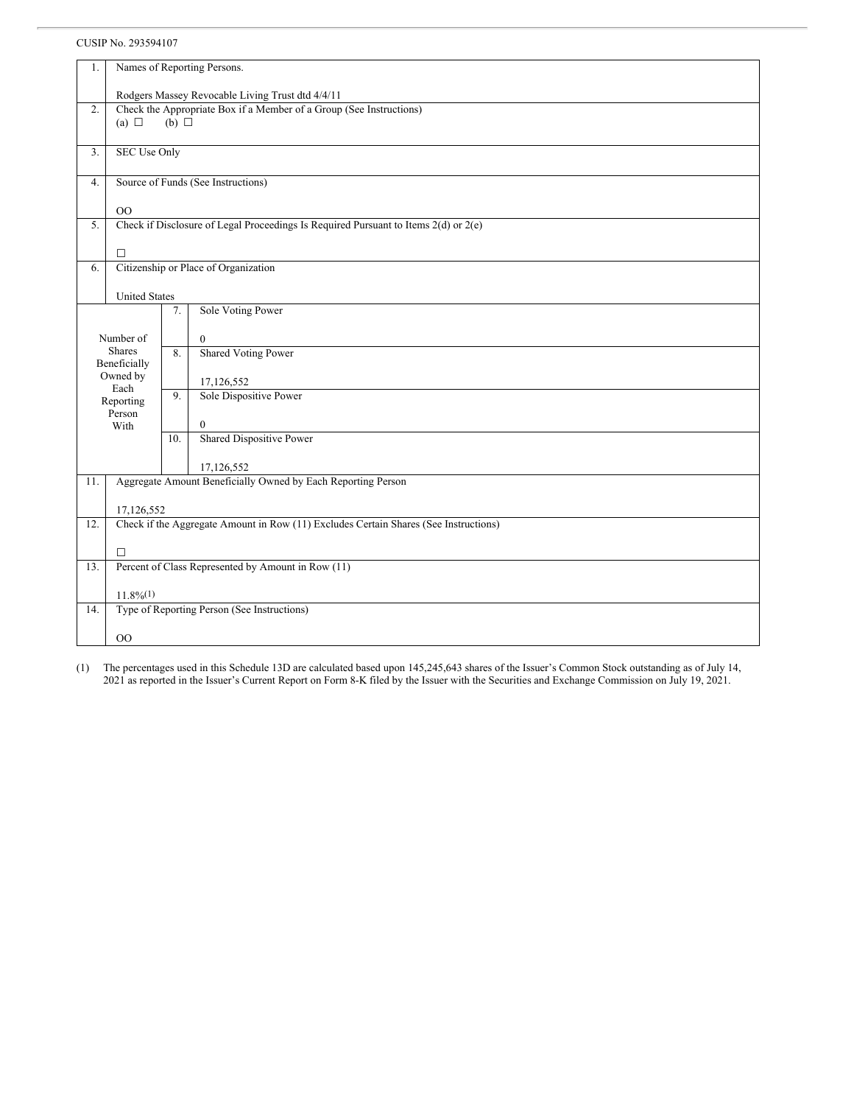| 1.  | Names of Reporting Persons.                                         |     |                                                                                         |  |  |  |  |
|-----|---------------------------------------------------------------------|-----|-----------------------------------------------------------------------------------------|--|--|--|--|
|     | Rodgers Massey Revocable Living Trust dtd 4/4/11                    |     |                                                                                         |  |  |  |  |
| 2.  | Check the Appropriate Box if a Member of a Group (See Instructions) |     |                                                                                         |  |  |  |  |
|     | $(b)$ $\square$                                                     |     |                                                                                         |  |  |  |  |
|     |                                                                     |     |                                                                                         |  |  |  |  |
| 3.  | <b>SEC Use Only</b>                                                 |     |                                                                                         |  |  |  |  |
|     |                                                                     |     |                                                                                         |  |  |  |  |
|     | Source of Funds (See Instructions)<br>4.                            |     |                                                                                         |  |  |  |  |
|     | O <sub>O</sub>                                                      |     |                                                                                         |  |  |  |  |
| 5.  |                                                                     |     | Check if Disclosure of Legal Proceedings Is Required Pursuant to Items $2(d)$ or $2(e)$ |  |  |  |  |
|     |                                                                     |     |                                                                                         |  |  |  |  |
|     | $\Box$                                                              |     |                                                                                         |  |  |  |  |
| 6.  |                                                                     |     | Citizenship or Place of Organization                                                    |  |  |  |  |
|     |                                                                     |     |                                                                                         |  |  |  |  |
|     | <b>United States</b>                                                |     |                                                                                         |  |  |  |  |
|     |                                                                     | 7.  | Sole Voting Power                                                                       |  |  |  |  |
|     | Number of                                                           |     | $\mathbf{0}$                                                                            |  |  |  |  |
|     | Shares                                                              | 8.  | <b>Shared Voting Power</b>                                                              |  |  |  |  |
|     | Beneficially                                                        |     |                                                                                         |  |  |  |  |
|     | Owned by                                                            |     | 17,126,552                                                                              |  |  |  |  |
|     | Each<br>Reporting                                                   |     | Sole Dispositive Power                                                                  |  |  |  |  |
|     | Person                                                              |     |                                                                                         |  |  |  |  |
|     | With                                                                |     | $\mathbf{0}$                                                                            |  |  |  |  |
|     |                                                                     | 10. | <b>Shared Dispositive Power</b>                                                         |  |  |  |  |
|     |                                                                     |     | 17,126,552                                                                              |  |  |  |  |
| 11. |                                                                     |     | Aggregate Amount Beneficially Owned by Each Reporting Person                            |  |  |  |  |
|     |                                                                     |     |                                                                                         |  |  |  |  |
|     | 17,126,552                                                          |     |                                                                                         |  |  |  |  |
| 12. |                                                                     |     | Check if the Aggregate Amount in Row (11) Excludes Certain Shares (See Instructions)    |  |  |  |  |
|     |                                                                     |     |                                                                                         |  |  |  |  |
|     | $\Box$                                                              |     |                                                                                         |  |  |  |  |
| 13. |                                                                     |     | Percent of Class Represented by Amount in Row (11)                                      |  |  |  |  |
|     | $11.8\%/1)$                                                         |     |                                                                                         |  |  |  |  |
| 14. |                                                                     |     |                                                                                         |  |  |  |  |
|     | Type of Reporting Person (See Instructions)                         |     |                                                                                         |  |  |  |  |
|     | <sub>00</sub>                                                       |     |                                                                                         |  |  |  |  |

(1) The percentages used in this Schedule 13D are calculated based upon 145,245,643 shares of the Issuer's Common Stock outstanding as of July 14, 2021 as reported in the Issuer's Current Report on Form 8-K filed by the Issuer with the Securities and Exchange Commission on July 19, 2021.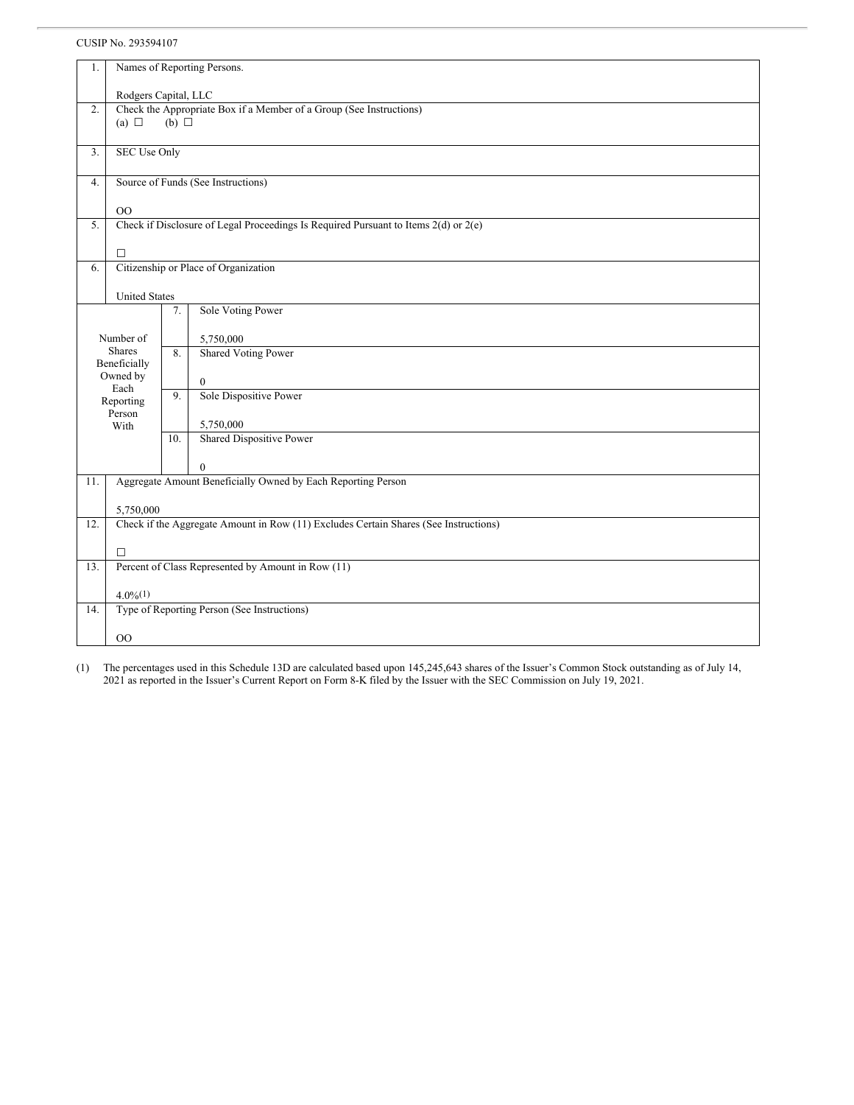| 1.  | Names of Reporting Persons.                                                          |                                             |  |  |  |  |
|-----|--------------------------------------------------------------------------------------|---------------------------------------------|--|--|--|--|
|     |                                                                                      |                                             |  |  |  |  |
|     | Rodgers Capital, LLC                                                                 |                                             |  |  |  |  |
| 2.  | Check the Appropriate Box if a Member of a Group (See Instructions)                  |                                             |  |  |  |  |
|     | (a) $\Box$<br>$(b)$ $\square$                                                        |                                             |  |  |  |  |
|     |                                                                                      |                                             |  |  |  |  |
| 3.  | <b>SEC Use Only</b>                                                                  |                                             |  |  |  |  |
|     |                                                                                      |                                             |  |  |  |  |
| 4.  | Source of Funds (See Instructions)                                                   |                                             |  |  |  |  |
|     |                                                                                      |                                             |  |  |  |  |
|     | 00                                                                                   |                                             |  |  |  |  |
| 5.  | Check if Disclosure of Legal Proceedings Is Required Pursuant to Items 2(d) or 2(e)  |                                             |  |  |  |  |
|     |                                                                                      |                                             |  |  |  |  |
|     | П                                                                                    |                                             |  |  |  |  |
| 6.  | Citizenship or Place of Organization                                                 |                                             |  |  |  |  |
|     |                                                                                      |                                             |  |  |  |  |
|     | <b>United States</b>                                                                 |                                             |  |  |  |  |
|     | Sole Voting Power<br>7.                                                              |                                             |  |  |  |  |
|     |                                                                                      |                                             |  |  |  |  |
|     | Number of<br>5,750,000                                                               |                                             |  |  |  |  |
|     | <b>Shares</b><br><b>Shared Voting Power</b><br>8.                                    |                                             |  |  |  |  |
|     | Beneficially                                                                         |                                             |  |  |  |  |
|     | Owned by<br>$\mathbf{0}$<br>Each                                                     |                                             |  |  |  |  |
|     | Sole Dispositive Power<br>9.<br>Reporting                                            |                                             |  |  |  |  |
|     | Person                                                                               |                                             |  |  |  |  |
|     | 5,750,000<br>With                                                                    |                                             |  |  |  |  |
|     | Shared Dispositive Power<br>10.                                                      |                                             |  |  |  |  |
|     |                                                                                      |                                             |  |  |  |  |
|     | $\boldsymbol{0}$                                                                     |                                             |  |  |  |  |
| 11. | Aggregate Amount Beneficially Owned by Each Reporting Person                         |                                             |  |  |  |  |
|     |                                                                                      |                                             |  |  |  |  |
|     | 5,750,000                                                                            |                                             |  |  |  |  |
| 12. | Check if the Aggregate Amount in Row (11) Excludes Certain Shares (See Instructions) |                                             |  |  |  |  |
|     |                                                                                      |                                             |  |  |  |  |
|     | Π                                                                                    |                                             |  |  |  |  |
| 13. | Percent of Class Represented by Amount in Row (11)                                   |                                             |  |  |  |  |
|     |                                                                                      |                                             |  |  |  |  |
|     | $4.0\%(1)$                                                                           |                                             |  |  |  |  |
| 14. |                                                                                      | Type of Reporting Person (See Instructions) |  |  |  |  |
|     |                                                                                      |                                             |  |  |  |  |
|     | $_{\rm OO}$                                                                          |                                             |  |  |  |  |

(1) The percentages used in this Schedule 13D are calculated based upon 145,245,643 shares of the Issuer's Common Stock outstanding as of July 14, 2021 as reported in the Issuer's Current Report on Form 8-K filed by the Issuer with the SEC Commission on July 19, 2021.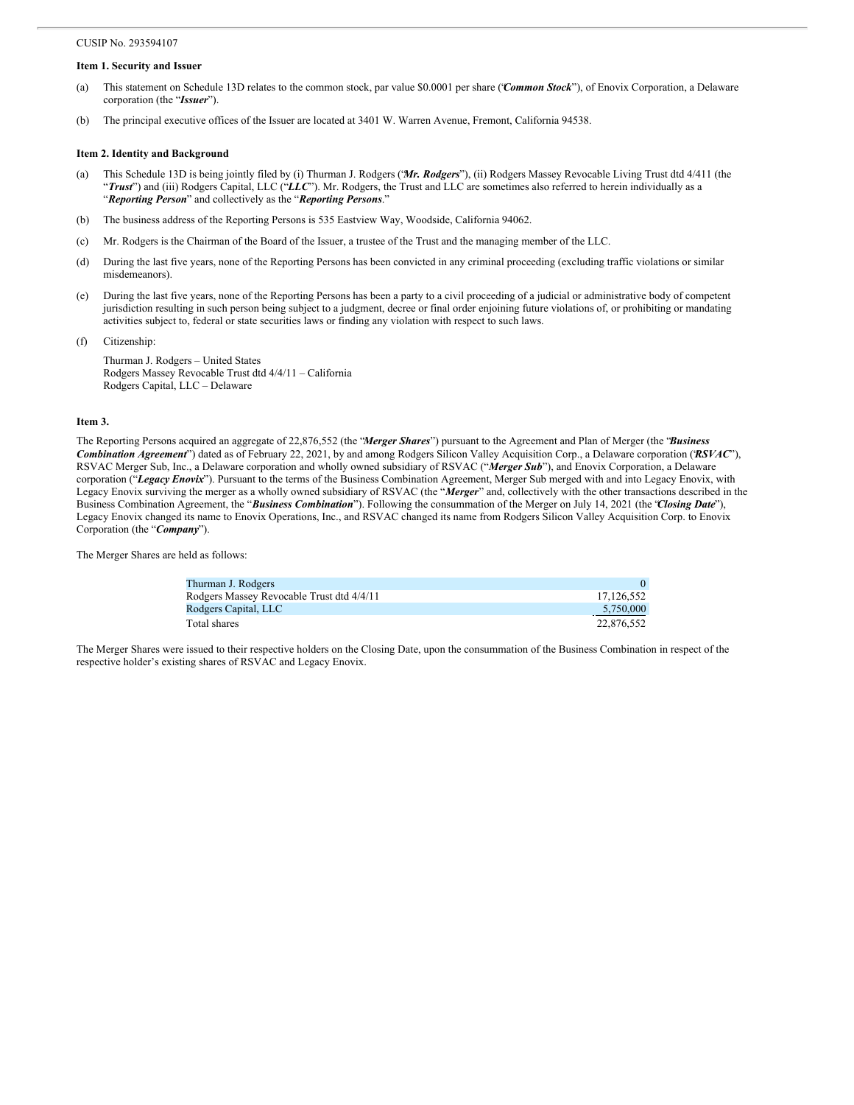# **Item 1. Security and Issuer**

- (a) This statement on Schedule 13D relates to the common stock, par value \$0.0001 per share ("*Common Stock*"), of Enovix Corporation, a Delaware corporation (the "*Issuer*").
- (b) The principal executive offices of the Issuer are located at 3401 W. Warren Avenue, Fremont, California 94538.

#### **Item 2. Identity and Background**

- (a) This Schedule 13D is being jointly filed by (i) Thurman J. Rodgers ("*Mr. Rodgers*"), (ii) Rodgers Massey Revocable Living Trust dtd 4/411 (the "*Trust*") and (iii) Rodgers Capital, LLC ("LLC"). Mr. Rodgers, the Trust and LLC are sometimes also referred to herein individually as a "*Reporting Person*" and collectively as the "*Reporting Persons*."
- (b) The business address of the Reporting Persons is 535 Eastview Way, Woodside, California 94062.
- (c) Mr. Rodgers is the Chairman of the Board of the Issuer, a trustee of the Trust and the managing member of the LLC.
- (d) During the last five years, none of the Reporting Persons has been convicted in any criminal proceeding (excluding traffic violations or similar misdemeanors).
- (e) During the last five years, none of the Reporting Persons has been a party to a civil proceeding of a judicial or administrative body of competent jurisdiction resulting in such person being subject to a judgment, decree or final order enjoining future violations of, or prohibiting or mandating activities subject to, federal or state securities laws or finding any violation with respect to such laws.
- (f) Citizenship:

Thurman J. Rodgers – United States Rodgers Massey Revocable Trust dtd 4/4/11 – California Rodgers Capital, LLC – Delaware

#### **Item 3.**

The Reporting Persons acquired an aggregate of 22,876,552 (the "*Merger Shares*") pursuant to the Agreement and Plan of Merger (the "*Business Combination Agreement*") dated as of February 22, 2021, by and among Rodgers Silicon Valley Acquisition Corp., a Delaware corporation ("*RSVAC*"), RSVAC Merger Sub, Inc., a Delaware corporation and wholly owned subsidiary of RSVAC ("*Merger Sub*"), and Enovix Corporation, a Delaware corporation ("*Legacy Enovix*"). Pursuant to the terms of the Business Combination Agreement, Merger Sub merged with and into Legacy Enovix, with Legacy Enovix surviving the merger as a wholly owned subsidiary of RSVAC (the "*Merger*" and, collectively with the other transactions described in the Business Combination Agreement, the "*Business Combination*"). Following the consummation of the Merger on July 14, 2021 (the "*Closing Date*"), Legacy Enovix changed its name to Enovix Operations, Inc., and RSVAC changed its name from Rodgers Silicon Valley Acquisition Corp. to Enovix Corporation (the "*Company*").

The Merger Shares are held as follows:

| Thurman J. Rodgers                        |            |
|-------------------------------------------|------------|
| Rodgers Massey Revocable Trust dtd 4/4/11 | 17.126.552 |
| Rodgers Capital, LLC                      | 5.750,000  |
| Total shares                              | 22,876,552 |

The Merger Shares were issued to their respective holders on the Closing Date, upon the consummation of the Business Combination in respect of the respective holder's existing shares of RSVAC and Legacy Enovix.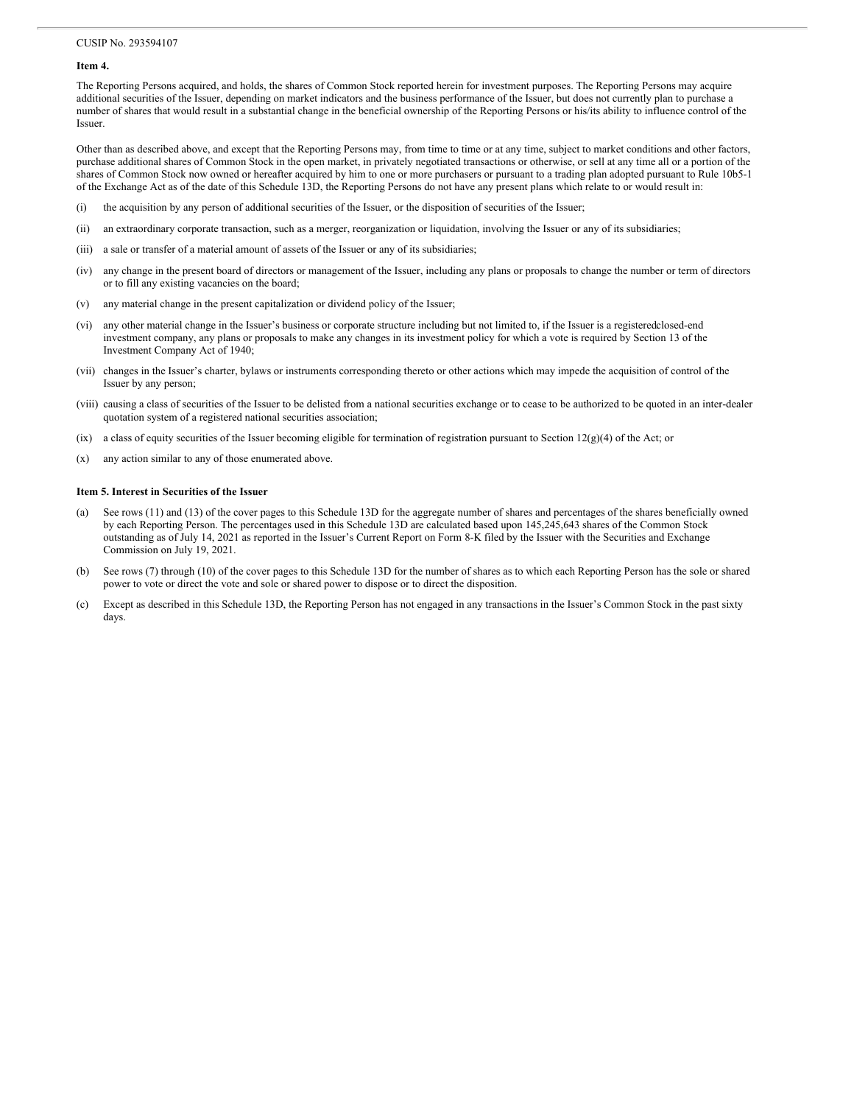# **Item 4.**

The Reporting Persons acquired, and holds, the shares of Common Stock reported herein for investment purposes. The Reporting Persons may acquire additional securities of the Issuer, depending on market indicators and the business performance of the Issuer, but does not currently plan to purchase a number of shares that would result in a substantial change in the beneficial ownership of the Reporting Persons or his/its ability to influence control of the Issuer.

Other than as described above, and except that the Reporting Persons may, from time to time or at any time, subject to market conditions and other factors, purchase additional shares of Common Stock in the open market, in privately negotiated transactions or otherwise, or sell at any time all or a portion of the shares of Common Stock now owned or hereafter acquired by him to one or more purchasers or pursuant to a trading plan adopted pursuant to Rule 10b5-1 of the Exchange Act as of the date of this Schedule 13D, the Reporting Persons do not have any present plans which relate to or would result in:

- (i) the acquisition by any person of additional securities of the Issuer, or the disposition of securities of the Issuer;
- (ii) an extraordinary corporate transaction, such as a merger, reorganization or liquidation, involving the Issuer or any of its subsidiaries;
- (iii) a sale or transfer of a material amount of assets of the Issuer or any of its subsidiaries;
- (iv) any change in the present board of directors or management of the Issuer, including any plans or proposals to change the number or term of directors or to fill any existing vacancies on the board;
- (v) any material change in the present capitalization or dividend policy of the Issuer;
- (vi) any other material change in the Issuer's business or corporate structure including but not limited to, if the Issuer is a registeredclosed-end investment company, any plans or proposals to make any changes in its investment policy for which a vote is required by Section 13 of the Investment Company Act of 1940;
- (vii) changes in the Issuer's charter, bylaws or instruments corresponding thereto or other actions which may impede the acquisition of control of the Issuer by any person;
- (viii) causing a class of securities of the Issuer to be delisted from a national securities exchange or to cease to be authorized to be quoted in an inter-dealer quotation system of a registered national securities association;
- (ix) a class of equity securities of the Issuer becoming eligible for termination of registration pursuant to Section 12(g)(4) of the Act; or
- (x) any action similar to any of those enumerated above.

#### **Item 5. Interest in Securities of the Issuer**

- (a) See rows (11) and (13) of the cover pages to this Schedule 13D for the aggregate number of shares and percentages of the shares beneficially owned by each Reporting Person. The percentages used in this Schedule 13D are calculated based upon 145,245,643 shares of the Common Stock outstanding as of July 14, 2021 as reported in the Issuer's Current Report on Form 8-K filed by the Issuer with the Securities and Exchange Commission on July 19, 2021.
- (b) See rows (7) through (10) of the cover pages to this Schedule 13D for the number of shares as to which each Reporting Person has the sole or shared power to vote or direct the vote and sole or shared power to dispose or to direct the disposition.
- (c) Except as described in this Schedule 13D, the Reporting Person has not engaged in any transactions in the Issuer's Common Stock in the past sixty days.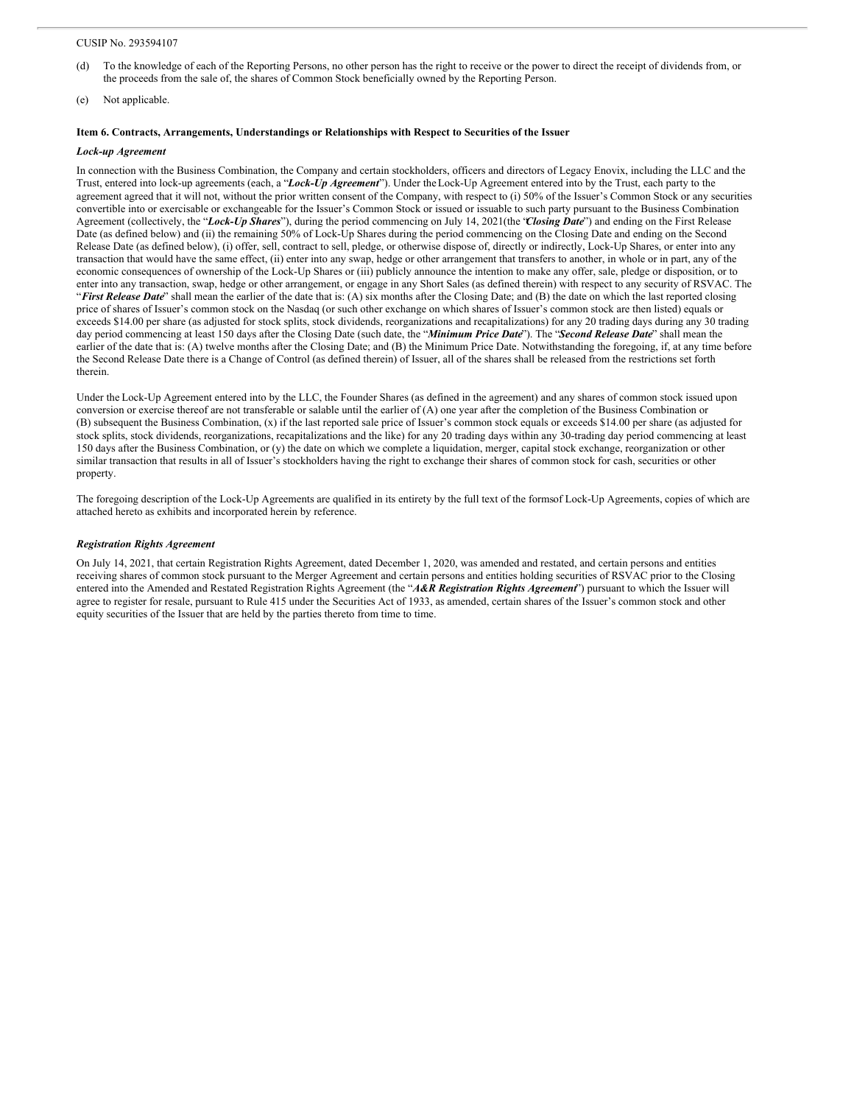- (d) To the knowledge of each of the Reporting Persons, no other person has the right to receive or the power to direct the receipt of dividends from, or the proceeds from the sale of, the shares of Common Stock beneficially owned by the Reporting Person.
- (e) Not applicable.

# **Item 6. Contracts, Arrangements, Understandings or Relationships with Respect to Securities of the Issuer**

## *Lock-up Agreement*

In connection with the Business Combination, the Company and certain stockholders, officers and directors of Legacy Enovix, including the LLC and the Trust, entered into lock-up agreements (each, a "*Lock-Up Agreement*"). Under theLock-Up Agreement entered into by the Trust, each party to the agreement agreed that it will not, without the prior written consent of the Company, with respect to (i) 50% of the Issuer's Common Stock or any securities convertible into or exercisable or exchangeable for the Issuer's Common Stock or issued or issuable to such party pursuant to the Business Combination Agreement (collectively, the "*Lock-Up Shares*"), during the period commencing on July 14, 2021(the "*Closing Date*") and ending on the First Release Date (as defined below) and (ii) the remaining 50% of Lock-Up Shares during the period commencing on the Closing Date and ending on the Second Release Date (as defined below), (i) offer, sell, contract to sell, pledge, or otherwise dispose of, directly or indirectly, Lock-Up Shares, or enter into any transaction that would have the same effect, (ii) enter into any swap, hedge or other arrangement that transfers to another, in whole or in part, any of the economic consequences of ownership of the Lock-Up Shares or (iii) publicly announce the intention to make any offer, sale, pledge or disposition, or to enter into any transaction, swap, hedge or other arrangement, or engage in any Short Sales (as defined therein) with respect to any security of RSVAC. The "*First Release Date*" shall mean the earlier of the date that is: (A) six months after the Closing Date; and (B) the date on which the last reported closing price of shares of Issuer's common stock on the Nasdaq (or such other exchange on which shares of Issuer's common stock are then listed) equals or exceeds \$14.00 per share (as adjusted for stock splits, stock dividends, reorganizations and recapitalizations) for any 20 trading days during any 30 trading day period commencing at least 150 days after the Closing Date (such date, the "*Minimum Price Date*"). The "*Second Release Date*" shall mean the earlier of the date that is: (A) twelve months after the Closing Date; and (B) the Minimum Price Date. Notwithstanding the foregoing, if, at any time before the Second Release Date there is a Change of Control (as defined therein) of Issuer, all of the shares shall be released from the restrictions set forth therein.

Under the Lock-Up Agreement entered into by the LLC, the Founder Shares (as defined in the agreement) and any shares of common stock issued upon conversion or exercise thereof are not transferable or salable until the earlier of (A) one year after the completion of the Business Combination or (B) subsequent the Business Combination, (x) if the last reported sale price of Issuer's common stock equals or exceeds \$14.00 per share (as adjusted for stock splits, stock dividends, reorganizations, recapitalizations and the like) for any 20 trading days within any 30-trading day period commencing at least 150 days after the Business Combination, or (y) the date on which we complete a liquidation, merger, capital stock exchange, reorganization or other similar transaction that results in all of Issuer's stockholders having the right to exchange their shares of common stock for cash, securities or other property.

The foregoing description of the Lock-Up Agreements are qualified in its entirety by the full text of the formsof Lock-Up Agreements, copies of which are attached hereto as exhibits and incorporated herein by reference.

### *Registration Rights Agreement*

On July 14, 2021, that certain Registration Rights Agreement, dated December 1, 2020, was amended and restated, and certain persons and entities receiving shares of common stock pursuant to the Merger Agreement and certain persons and entities holding securities of RSVAC prior to the Closing entered into the Amended and Restated Registration Rights Agreement (the "*A&R Registration Rights Agreement*") pursuant to which the Issuer will agree to register for resale, pursuant to Rule 415 under the Securities Act of 1933, as amended, certain shares of the Issuer's common stock and other equity securities of the Issuer that are held by the parties thereto from time to time.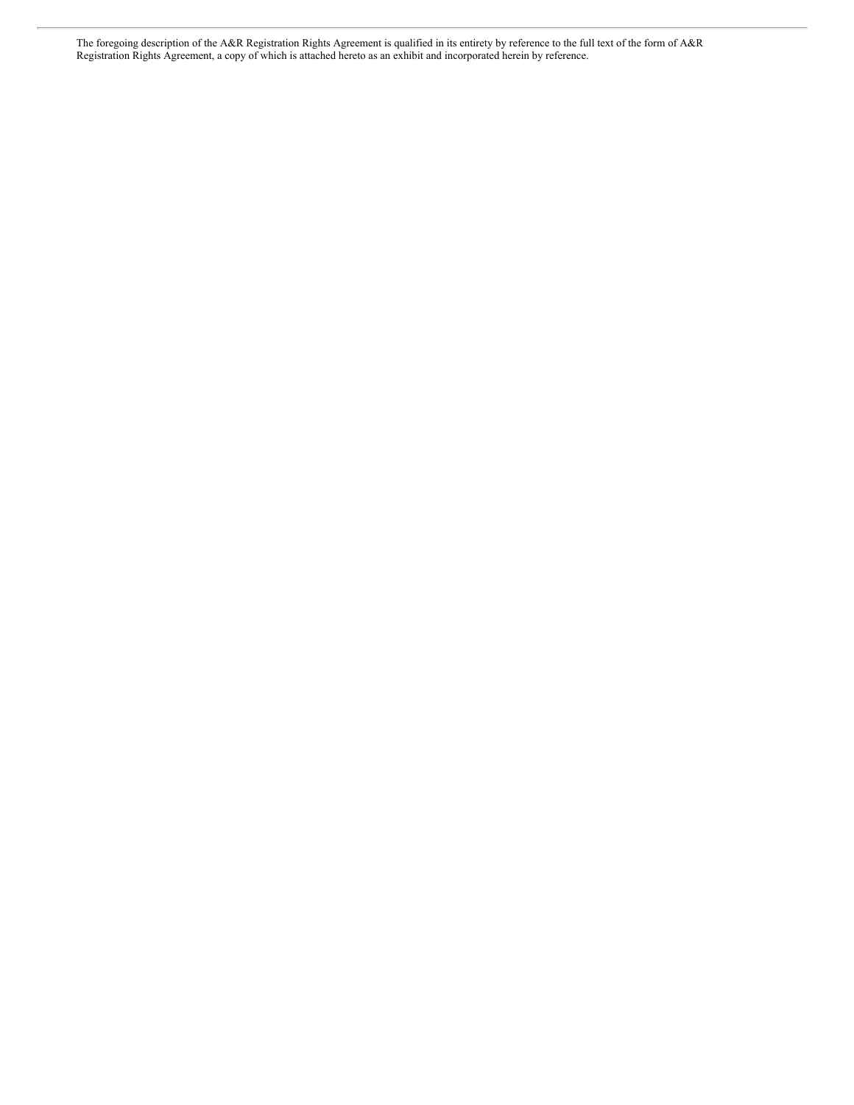The foregoing description of the A&R Registration Rights Agreement is qualified in its entirety by reference to the full text of the form of A&R Registration Rights Agreement, a copy of which is attached hereto as an exhibit and incorporated herein by reference.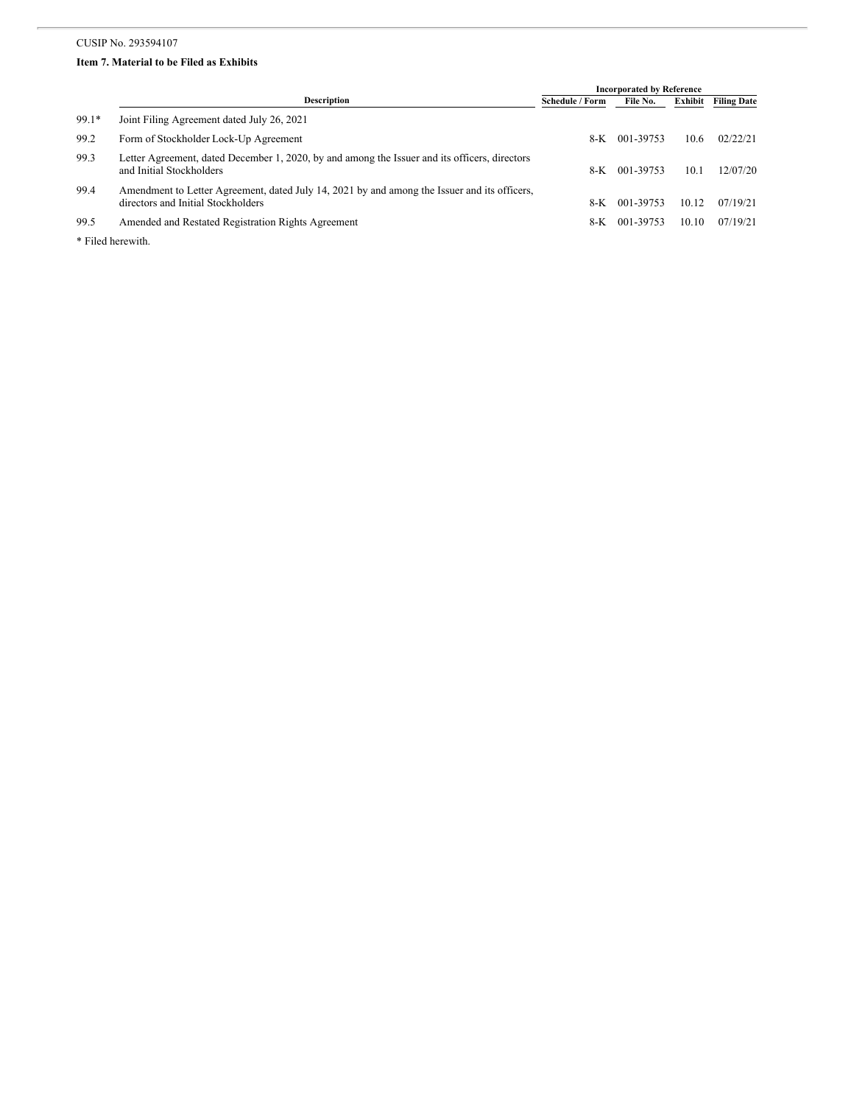# **Item 7. Material to be Filed as Exhibits**

|         |                                                                                                                                    | <b>Incorporated by Reference</b> |           |         |                    |
|---------|------------------------------------------------------------------------------------------------------------------------------------|----------------------------------|-----------|---------|--------------------|
|         | <b>Description</b>                                                                                                                 | <b>Schedule / Form</b>           | File No.  | Exhibit | <b>Filing Date</b> |
| $99.1*$ | Joint Filing Agreement dated July 26, 2021                                                                                         |                                  |           |         |                    |
| 99.2    | Form of Stockholder Lock-Up Agreement                                                                                              | 8-K                              | 001-39753 | 10.6    | 02/22/21           |
| 99.3    | Letter Agreement, dated December 1, 2020, by and among the Issuer and its officers, directors<br>and Initial Stockholders          | 8-K                              | 001-39753 | 10.1    | 12/07/20           |
| 99.4    | Amendment to Letter Agreement, dated July 14, 2021 by and among the Issuer and its officers,<br>directors and Initial Stockholders | 8-K                              | 001-39753 | 10.12   | 07/19/21           |
| 99.5    | Amended and Restated Registration Rights Agreement                                                                                 | 8-K                              | 001-39753 | 10.10   | 07/19/21           |
| .       |                                                                                                                                    |                                  |           |         |                    |

\* Filed herewith.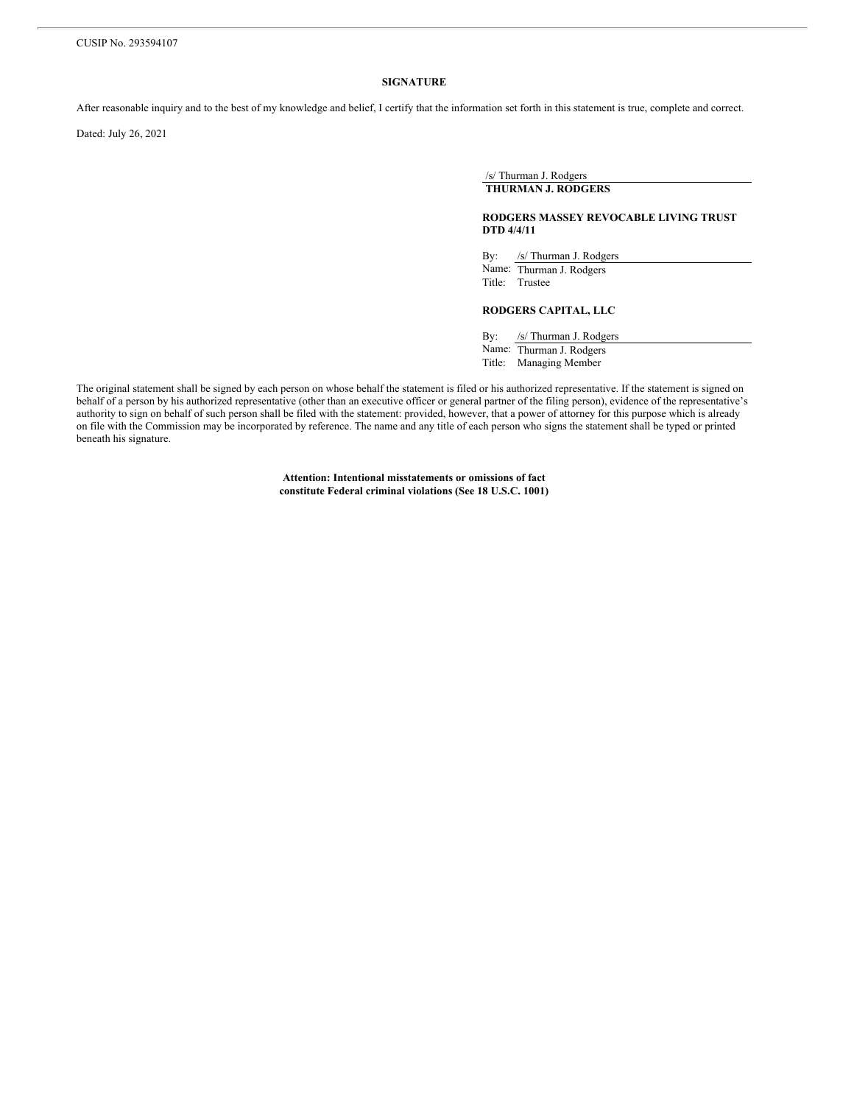# **SIGNATURE**

After reasonable inquiry and to the best of my knowledge and belief, I certify that the information set forth in this statement is true, complete and correct.

Dated: July 26, 2021

/s/ Thurman J. Rodgers **THURMAN J. RODGERS**

# **RODGERS MASSEY REVOCABLE LIVING TRUST DTD 4/4/11**

By: /s/ Thurman J. Rodgers Name: Thurman J. Rodgers Title: Trustee

# **RODGERS CAPITAL, LLC**

By: /s/ Thurman J. Rodgers Name: Thurman J. Rodgers Title: Managing Member

The original statement shall be signed by each person on whose behalf the statement is filed or his authorized representative. If the statement is signed on behalf of a person by his authorized representative (other than an executive officer or general partner of the filing person), evidence of the representative's authority to sign on behalf of such person shall be filed with the statement: provided, however, that a power of attorney for this purpose which is already on file with the Commission may be incorporated by reference. The name and any title of each person who signs the statement shall be typed or printed beneath his signature.

> **Attention: Intentional misstatements or omissions of fact constitute Federal criminal violations (See 18 U.S.C. 1001)**